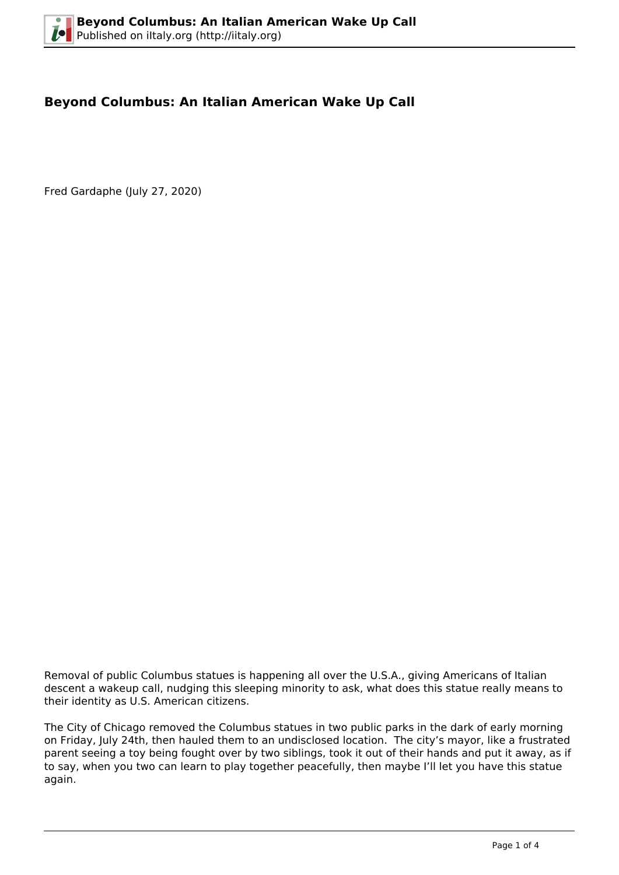## **Beyond Columbus: An Italian American Wake Up Call**

Fred Gardaphe (July 27, 2020)



Removal of public Columbus statues is happening all over the U.S.A., giving Americans of Italian descent a wakeup call, nudging this sleeping minority to ask, what does this statue really means to their identity as U.S. American citizens.

The City of Chicago removed the Columbus statues in two public parks in the dark of early morning on Friday, July 24th, then hauled them to an undisclosed location. The city's mayor, like a frustrated parent seeing a toy being fought over by two siblings, took it out of their hands and put it away, as if to say, when you two can learn to play together peacefully, then maybe I'll let you have this statue again.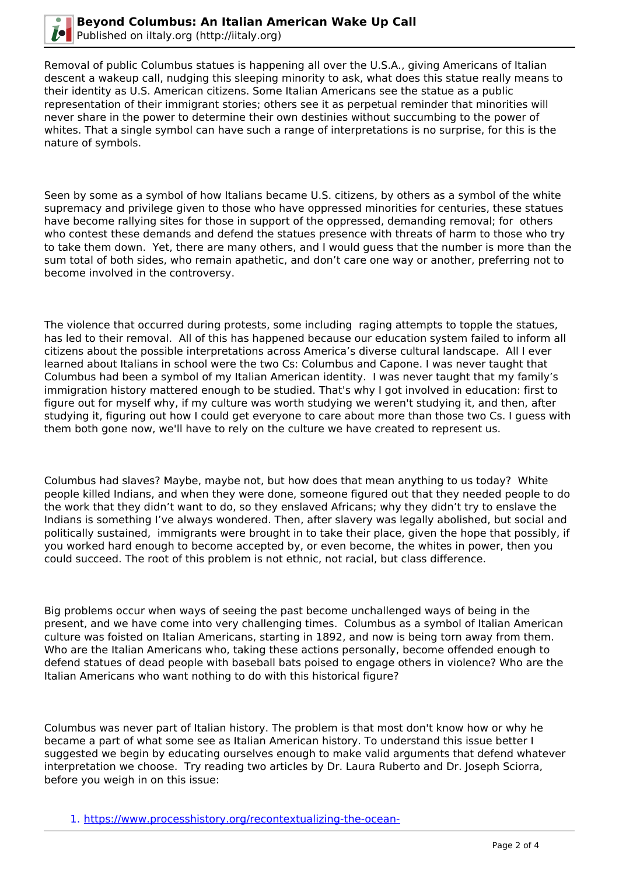

Removal of public Columbus statues is happening all over the U.S.A., giving Americans of Italian descent a wakeup call, nudging this sleeping minority to ask, what does this statue really means to their identity as U.S. American citizens. Some Italian Americans see the statue as a public representation of their immigrant stories; others see it as perpetual reminder that minorities will never share in the power to determine their own destinies without succumbing to the power of whites. That a single symbol can have such a range of interpretations is no surprise, for this is the nature of symbols.

Seen by some as a symbol of how Italians became U.S. citizens, by others as a symbol of the white supremacy and privilege given to those who have oppressed minorities for centuries, these statues have become rallying sites for those in support of the oppressed, demanding removal; for others who contest these demands and defend the statues presence with threats of harm to those who try to take them down. Yet, there are many others, and I would guess that the number is more than the sum total of both sides, who remain apathetic, and don't care one way or another, preferring not to become involved in the controversy.

The violence that occurred during protests, some including raging attempts to topple the statues, has led to their removal. All of this has happened because our education system failed to inform all citizens about the possible interpretations across America's diverse cultural landscape. All I ever learned about Italians in school were the two Cs: Columbus and Capone. I was never taught that Columbus had been a symbol of my Italian American identity. I was never taught that my family's immigration history mattered enough to be studied. That's why I got involved in education: first to figure out for myself why, if my culture was worth studying we weren't studying it, and then, after studying it, figuring out how I could get everyone to care about more than those two Cs. I guess with them both gone now, we'll have to rely on the culture we have created to represent us.

Columbus had slaves? Maybe, maybe not, but how does that mean anything to us today? White people killed Indians, and when they were done, someone figured out that they needed people to do the work that they didn't want to do, so they enslaved Africans; why they didn't try to enslave the Indians is something I've always wondered. Then, after slavery was legally abolished, but social and politically sustained, immigrants were brought in to take their place, given the hope that possibly, if you worked hard enough to become accepted by, or even become, the whites in power, then you could succeed. The root of this problem is not ethnic, not racial, but class difference.

Big problems occur when ways of seeing the past become unchallenged ways of being in the present, and we have come into very challenging times. Columbus as a symbol of Italian American culture was foisted on Italian Americans, starting in 1892, and now is being torn away from them. Who are the Italian Americans who, taking these actions personally, become offended enough to defend statues of dead people with baseball bats poised to engage others in violence? Who are the Italian Americans who want nothing to do with this historical figure?

Columbus was never part of Italian history. The problem is that most don't know how or why he became a part of what some see as Italian American history. To understand this issue better I suggested we begin by educating ourselves enough to make valid arguments that defend whatever interpretation we choose. Try reading two articles by Dr. Laura Ruberto and Dr. Joseph Sciorra, before you weigh in on this issue:

1. [https://www.processhistory.org/recontextualizing-the-ocean-](https://www.processhistory.org/recontextualizing-the-ocean-blue/?fbclid=IwAR0ORH0W35hw1oZxPBUlg0Iyn-zvMkYJ7DaGz1iHGimiJcCGDQOw5-4nJXQ)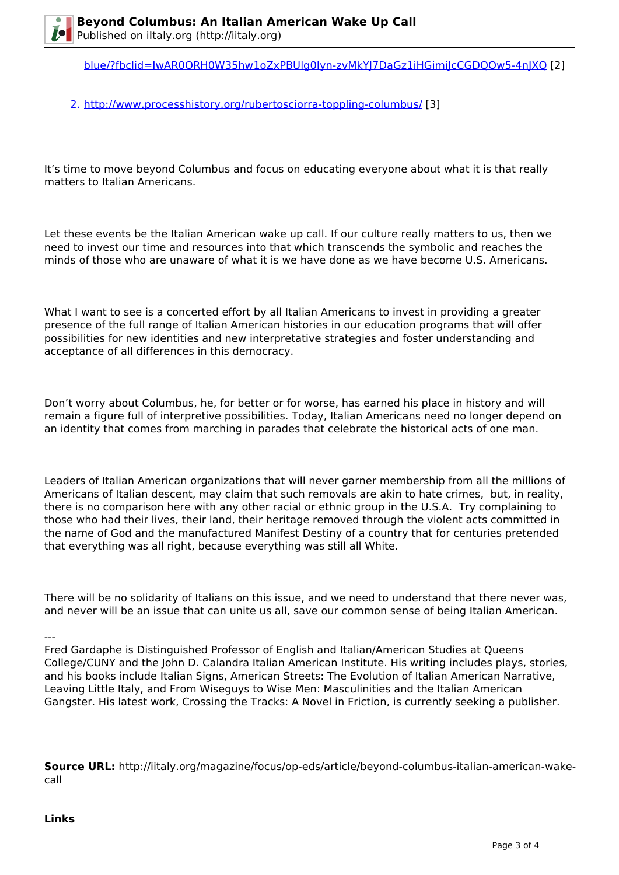[blue/?fbclid=IwAR0ORH0W35hw1oZxPBUlg0Iyn-zvMkYJ7DaGz1iHGimiJcCGDQOw5-4nJXQ](https://www.processhistory.org/recontextualizing-the-ocean-blue/?fbclid=IwAR0ORH0W35hw1oZxPBUlg0Iyn-zvMkYJ7DaGz1iHGimiJcCGDQOw5-4nJXQ) [2]

2. <http://www.processhistory.org/rubertosciorra-toppling-columbus/> [3]

It's time to move beyond Columbus and focus on educating everyone about what it is that really matters to Italian Americans.

Let these events be the Italian American wake up call. If our culture really matters to us, then we need to invest our time and resources into that which transcends the symbolic and reaches the minds of those who are unaware of what it is we have done as we have become U.S. Americans.

What I want to see is a concerted effort by all Italian Americans to invest in providing a greater presence of the full range of Italian American histories in our education programs that will offer possibilities for new identities and new interpretative strategies and foster understanding and acceptance of all differences in this democracy.

Don't worry about Columbus, he, for better or for worse, has earned his place in history and will remain a figure full of interpretive possibilities. Today, Italian Americans need no longer depend on an identity that comes from marching in parades that celebrate the historical acts of one man.

Leaders of Italian American organizations that will never garner membership from all the millions of Americans of Italian descent, may claim that such removals are akin to hate crimes, but, in reality, there is no comparison here with any other racial or ethnic group in the U.S.A. Try complaining to those who had their lives, their land, their heritage removed through the violent acts committed in the name of God and the manufactured Manifest Destiny of a country that for centuries pretended that everything was all right, because everything was still all White.

There will be no solidarity of Italians on this issue, and we need to understand that there never was, and never will be an issue that can unite us all, save our common sense of being Italian American.

---

Fred Gardaphe is Distinguished Professor of English and Italian/American Studies at Queens College/CUNY and the John D. Calandra Italian American Institute. His writing includes plays, stories, and his books include Italian Signs, American Streets: The Evolution of Italian American Narrative, Leaving Little Italy, and From Wiseguys to Wise Men: Masculinities and the Italian American Gangster. His latest work, Crossing the Tracks: A Novel in Friction, is currently seeking a publisher.

**Source URL:** http://iitaly.org/magazine/focus/op-eds/article/beyond-columbus-italian-american-wakecall

**Links**